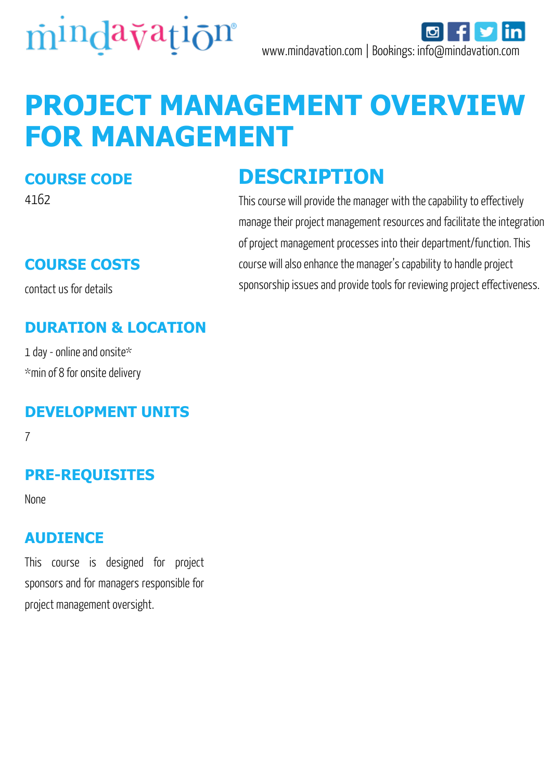

# **PROJECT MANAGEMENT OVERVIEW FOR MANAGEMENT**

#### **COURSE CODE**

4162

# **COURSE COSTS**

contact us for details

# **DURATION & LOCATION**

1 day - online and onsite\* \*min of 8 for onsite delivery

### **DEVELOPMENT UNITS**

7

# **PRE-REQUISITES**

None

#### **AUDIENCE**

This course is designed for project sponsors and for managers responsible for project management oversight.

# **DESCRIPTION**

This course will provide the manager with the capability to effectively manage their project management resources and facilitate the integration of project management processes into their department/function. This course will also enhance the manager's capability to handle project sponsorship issues and provide tools for reviewing project effectiveness.